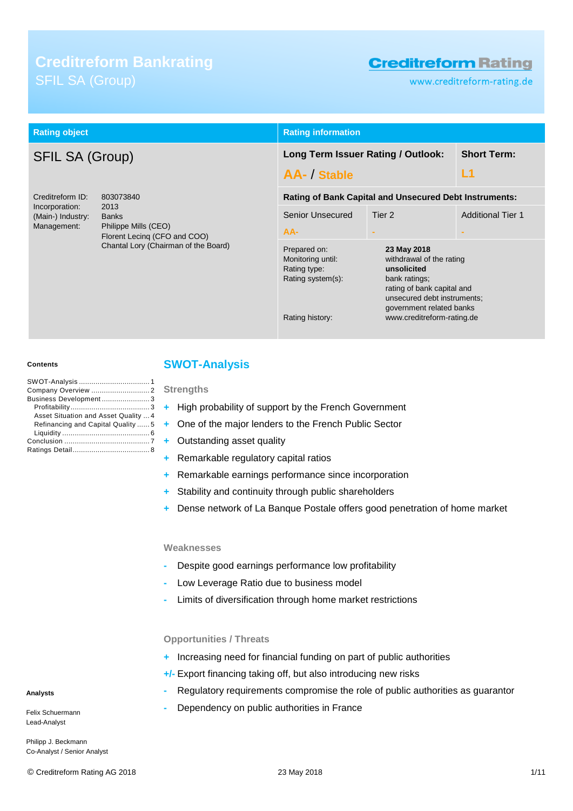# **Creditreform Bankrating**

# **Creditreform Rating**

www.creditreform-rating.de

| <b>Rating object</b>                                                                                                                |                                                                      | <b>Rating information</b>                                                                 |                                                                                                                                                                                                |                          |  |
|-------------------------------------------------------------------------------------------------------------------------------------|----------------------------------------------------------------------|-------------------------------------------------------------------------------------------|------------------------------------------------------------------------------------------------------------------------------------------------------------------------------------------------|--------------------------|--|
| <b>SFIL SA (Group)</b>                                                                                                              |                                                                      | <b>Short Term:</b><br>Long Term Issuer Rating / Outlook:<br>L1<br>AA- / Stable            |                                                                                                                                                                                                |                          |  |
| Creditreform ID:<br>803073840<br>Incorporation:<br>2013<br>(Main-) Industry:<br><b>Banks</b><br>Management:<br>Philippe Mills (CEO) |                                                                      | <b>Rating of Bank Capital and Unsecured Debt Instruments:</b>                             |                                                                                                                                                                                                |                          |  |
|                                                                                                                                     |                                                                      | Senior Unsecured<br>AA-                                                                   | Tier 2                                                                                                                                                                                         | <b>Additional Tier 1</b> |  |
|                                                                                                                                     | Florent Lecing (CFO and COO)<br>Chantal Lory (Chairman of the Board) | Prepared on:<br>Monitoring until:<br>Rating type:<br>Rating system(s):<br>Rating history: | 23 May 2018<br>withdrawal of the rating<br>unsolicited<br>bank ratings;<br>rating of bank capital and<br>unsecured debt instruments;<br>government related banks<br>www.creditreform-rating.de |                          |  |

#### **Contents**

| Business Development3                |
|--------------------------------------|
|                                      |
| Asset Situation and Asset Quality  4 |
| Refinancing and Capital Quality  5   |
|                                      |
|                                      |
|                                      |

# <span id="page-0-0"></span>**SWOT-Analysis**

**Strengths**

- **+** High probability of support by the French Government
- **+** One of the major lenders to the French Public Sector
- **+** Outstanding asset quality
- **+** Remarkable regulatory capital ratios
- **+** Remarkable earnings performance since incorporation
- **+** Stability and continuity through public shareholders
- **+** Dense network of La Banque Postale offers good penetration of home market

### **Weaknesses**

- **-** Despite good earnings performance low profitability
- **-** Low Leverage Ratio due to business model
- **-** Limits of diversification through home market restrictions

### **Opportunities / Threats**

- **+** Increasing need for financial funding on part of public authorities
- **+/-** Export financing taking off, but also introducing new risks
- **-** Regulatory requirements compromise the role of public authorities as guarantor
- **-** Dependency on public authorities in France

**Analysts**

Felix Schuermann Lead-Analyst

Philipp J. Beckmann Co-Analyst / Senior Analyst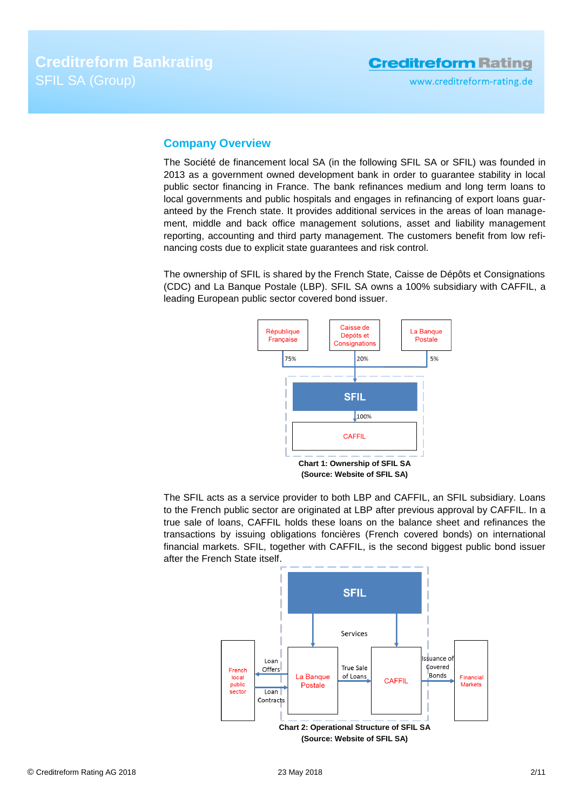# <span id="page-1-0"></span>**Company Overview**

The Société de financement local SA (in the following SFIL SA or SFIL) was founded in 2013 as a government owned development bank in order to guarantee stability in local public sector financing in France. The bank refinances medium and long term loans to local governments and public hospitals and engages in refinancing of export loans guaranteed by the French state. It provides additional services in the areas of loan management, middle and back office management solutions, asset and liability management reporting, accounting and third party management. The customers benefit from low refinancing costs due to explicit state guarantees and risk control.

The ownership of SFIL is shared by the French State, Caisse de Dépôts et Consignations (CDC) and La Banque Postale (LBP). SFIL SA owns a 100% subsidiary with CAFFIL, a leading European public sector covered bond issuer.



The SFIL acts as a service provider to both LBP and CAFFIL, an SFIL subsidiary. Loans to the French public sector are originated at LBP after previous approval by CAFFIL. In a true sale of loans, CAFFIL holds these loans on the balance sheet and refinances the transactions by issuing obligations foncières (French covered bonds) on international financial markets. SFIL, together with CAFFIL, is the second biggest public bond issuer after the French State itself.

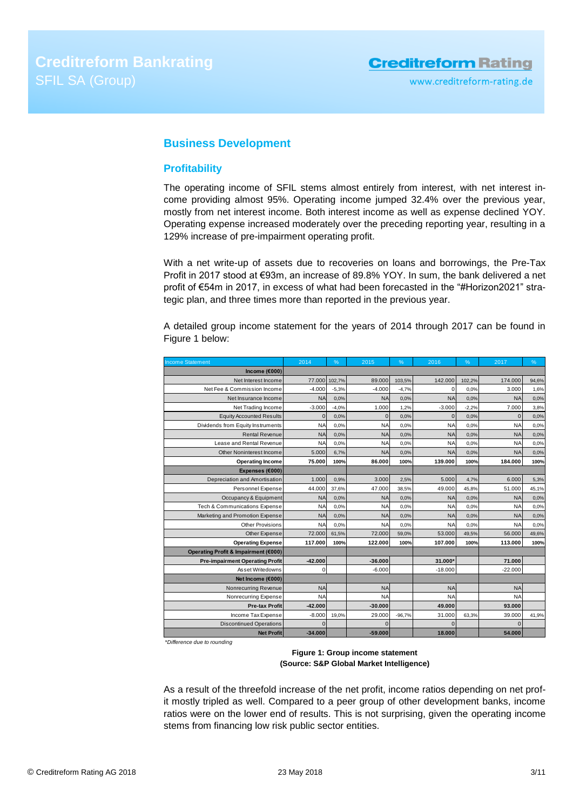# <span id="page-2-0"></span>**Business Development**

# <span id="page-2-1"></span>**Profitability**

The operating income of SFIL stems almost entirely from interest, with net interest income providing almost 95%. Operating income jumped 32.4% over the previous year, mostly from net interest income. Both interest income as well as expense declined YOY. Operating expense increased moderately over the preceding reporting year, resulting in a 129% increase of pre-impairment operating profit.

With a net write-up of assets due to recoveries on loans and borrowings, the Pre-Tax Profit in 2017 stood at €93m, an increase of 89.8% YOY. In sum, the bank delivered a net profit of €54m in 2017, in excess of what had been forecasted in the "#Horizon2021" strategic plan, and three times more than reported in the previous year.

A detailed group income statement for the years of 2014 through 2017 can be found in Figure 1 below:

| <b>Income Statement</b>                | 2014        | %       | 2015         | %        | 2016        | %       | 2017           | %     |
|----------------------------------------|-------------|---------|--------------|----------|-------------|---------|----------------|-------|
| Income $(6000)$                        |             |         |              |          |             |         |                |       |
| Net Interest Income                    | 77.000      | 102,7%  | 89.000       | 103,5%   | 142.000     | 102,2%  | 174.000        | 94,6% |
| Net Fee & Commission Income            | $-4.000$    | $-5,3%$ | $-4.000$     | $-4,7%$  | $\mathbf 0$ | 0.0%    | 3.000          | 1,6%  |
| Net Insurance Income                   | <b>NA</b>   | 0,0%    | <b>NA</b>    | 0,0%     | <b>NA</b>   | 0.0%    | <b>NA</b>      | 0,0%  |
| Net Trading Income                     | $-3.000$    | $-4,0%$ | 1.000        | 1,2%     | $-3.000$    | $-2,2%$ | 7.000          | 3,8%  |
| <b>Equity Accounted Results</b>        | $\mathbf 0$ | 0,0%    | $\mathbf{0}$ | 0,0%     | $\Omega$    | 0.0%    | $\overline{0}$ | 0,0%  |
| Dividends from Equity Instruments      | <b>NA</b>   | 0.0%    | <b>NA</b>    | 0,0%     | <b>NA</b>   | 0.0%    | <b>NA</b>      | 0,0%  |
| <b>Rental Revenue</b>                  | <b>NA</b>   | 0,0%    | <b>NA</b>    | 0,0%     | <b>NA</b>   | 0.0%    | <b>NA</b>      | 0,0%  |
| Lease and Rental Revenue               | <b>NA</b>   | 0.0%    | <b>NA</b>    | 0.0%     | <b>NA</b>   | 0.0%    | <b>NA</b>      | 0,0%  |
| <b>Other Noninterest Income</b>        | 5.000       | 6,7%    | <b>NA</b>    | 0,0%     | <b>NA</b>   | 0.0%    | <b>NA</b>      | 0,0%  |
| <b>Operating Income</b>                | 75.000      | 100%    | 86.000       | 100%     | 139.000     | 100%    | 184.000        | 100%  |
| Expenses (€000)                        |             |         |              |          |             |         |                |       |
| Depreciation and Amortisation          | 1.000       | 0,9%    | 3.000        | 2,5%     | 5.000       | 4,7%    | 6.000          | 5,3%  |
| Personnel Expense                      | 44.000      | 37.6%   | 47.000       | 38.5%    | 49.000      | 45.8%   | 51.000         | 45,1% |
| Occupancy & Equipment                  | <b>NA</b>   | 0,0%    | <b>NA</b>    | 0,0%     | <b>NA</b>   | 0.0%    | <b>NA</b>      | 0,0%  |
| Tech & Communications Expense          | <b>NA</b>   | 0.0%    | <b>NA</b>    | 0.0%     | <b>NA</b>   | 0.0%    | <b>NA</b>      | 0,0%  |
| Marketing and Promotion Expense        | <b>NA</b>   | 0.0%    | <b>NA</b>    | 0,0%     | <b>NA</b>   | 0.0%    | <b>NA</b>      | 0,0%  |
| <b>Other Provisions</b>                | <b>NA</b>   | 0.0%    | <b>NA</b>    | 0,0%     | <b>NA</b>   | 0.0%    | <b>NA</b>      | 0,0%  |
| Other Expense                          | 72.000      | 61,5%   | 72.000       | 59,0%    | 53.000      | 49,5%   | 56.000         | 49,6% |
| <b>Operating Expense</b>               | 117.000     | 100%    | 122.000      | 100%     | 107.000     | 100%    | 113.000        | 100%  |
| Operating Profit & Impairment (€000)   |             |         |              |          |             |         |                |       |
| <b>Pre-impairment Operating Profit</b> | $-42.000$   |         | $-36.000$    |          | 31.000*     |         | 71.000         |       |
| Asset Writedowns                       | $\Omega$    |         | $-6.000$     |          | $-18.000$   |         | $-22.000$      |       |
| Net Income (€000)                      |             |         |              |          |             |         |                |       |
| Nonrecurring Revenue                   | <b>NA</b>   |         | <b>NA</b>    |          | $N_A$       |         | <b>NA</b>      |       |
| Nonrecurring Expense                   | <b>NA</b>   |         | <b>NA</b>    |          | <b>NA</b>   |         | <b>NA</b>      |       |
| <b>Pre-tax Profit</b>                  | $-42.000$   |         | $-30.000$    |          | 49.000      |         | 93.000         |       |
| Income Tax Expense                     | $-8.000$    | 19.0%   | 29.000       | $-96.7%$ | 31,000      | 63,3%   | 39,000         | 41,9% |
| <b>Discontinued Operations</b>         | $\Omega$    |         | $\Omega$     |          | C           |         | $\Omega$       |       |
| <b>Net Profit</b>                      | $-34.000$   |         | $-59.000$    |          | 18.000      |         | 54.000         |       |

*\*Difference due to rounding*

**Figure 1: Group income statement (Source: S&P Global Market Intelligence)**

As a result of the threefold increase of the net profit, income ratios depending on net profit mostly tripled as well. Compared to a peer group of other development banks, income ratios were on the lower end of results. This is not surprising, given the operating income stems from financing low risk public sector entities.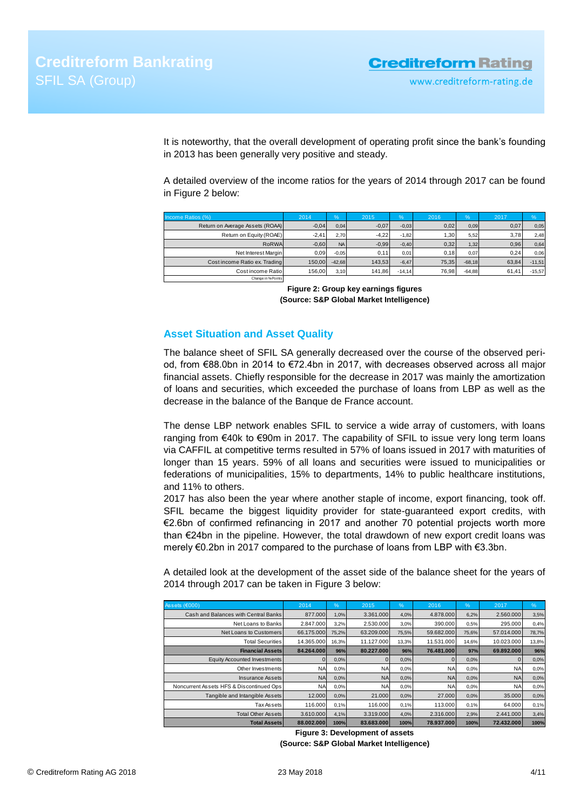It is noteworthy, that the overall development of operating profit since the bank's founding in 2013 has been generally very positive and steady.

A detailed overview of the income ratios for the years of 2014 through 2017 can be found in Figure 2 below:

| Income Ratios (%)               | 2014    | $\frac{9}{6}$ | 2015    | $\%$     | 2016             | $\%$     | 2017  | $\frac{9}{6}$ |
|---------------------------------|---------|---------------|---------|----------|------------------|----------|-------|---------------|
| Return on Average Assets (ROAA) | $-0,04$ | 0.04          | $-0,07$ | $-0.03$  | 0,02             | 0.09     | 0,07  | 0,05          |
| Return on Equity (ROAE)         | $-2.41$ | 2.70          | $-4.22$ | $-1.82$  | .30 <sub>l</sub> | 5.52     | 3,78  | 2.48          |
| RoRWA                           | $-0,60$ | <b>NA</b>     | $-0,99$ | $-0,40$  | 0,32             | 1,32     | 0.96  | 0,64          |
| Net Interest Margin             | 0.09    | $-0.05$       | 0,11    | 0.01     | 0,18             | 0.07     | 0.24  | 0,06          |
| Cost income Ratio ex. Trading   | 150.00  | $-42.68$      | 143.53  | $-6,47$  | 75.35            | $-68.18$ | 63.84 | $-11,51$      |
| Cost income Ratio               | 156.00  | 3.10          | 141,86  | $-14.14$ | 76.98            | $-64,88$ | 61.41 | $-15,57$      |
| Change in % Points              |         |               |         |          |                  |          |       |               |

**Figure 2: Group key earnings figures (Source: S&P Global Market Intelligence)**

## <span id="page-3-0"></span>**Asset Situation and Asset Quality**

The balance sheet of SFIL SA generally decreased over the course of the observed period, from €88.0bn in 2014 to €72.4bn in 2017, with decreases observed across all major financial assets. Chiefly responsible for the decrease in 2017 was mainly the amortization of loans and securities, which exceeded the purchase of loans from LBP as well as the decrease in the balance of the Banque de France account.

The dense LBP network enables SFIL to service a wide array of customers, with loans ranging from €40k to €90m in 2017. The capability of SFIL to issue very long term loans via CAFFIL at competitive terms resulted in 57% of loans issued in 2017 with maturities of longer than 15 years. 59% of all loans and securities were issued to municipalities or federations of municipalities, 15% to departments, 14% to public healthcare institutions, and 11% to others.

2017 has also been the year where another staple of income, export financing, took off. SFIL became the biggest liquidity provider for state-guaranteed export credits, with €2.6bn of confirmed refinancing in 2017 and another 70 potential projects worth more than €24bn in the pipeline. However, the total drawdown of new export credit loans was merely €0.2bn in 2017 compared to the purchase of loans from LBP with €3.3bn.

A detailed look at the development of the asset side of the balance sheet for the years of 2014 through 2017 can be taken in Figure 3 below:

| Assets (€000)                            | 2014       | %     | 2015       | %     | 2016       | %     | 2017       | %     |
|------------------------------------------|------------|-------|------------|-------|------------|-------|------------|-------|
| Cash and Balances with Central Banks     | 877,000    | 1,0%  | 3.361.000  | 4,0%  | 4.878.000  | 6,2%  | 2.560.000  | 3,5%  |
| Net Loans to Banks                       | 2.847.000  | 3,2%  | 2.530.000  | 3,0%  | 390,000    | 0,5%  | 295,000    | 0.4%  |
| Net Loans to Customers                   | 66.175.000 | 75.2% | 63.209.000 | 75,5% | 59.682.000 | 75,6% | 57.014.000 | 78,7% |
| <b>Total Securities</b>                  | 14.365.000 | 16,3% | 11.127.000 | 13,3% | 11.531.000 | 14,6% | 10.023.000 | 13,8% |
| <b>Financial Assets</b>                  | 84.264.000 | 96%   | 80.227.000 | 96%   | 76.481.000 | 97%   | 69.892.000 | 96%   |
| Equity Accounted Investments             |            | 0,0%  |            | 0,0%  |            | 0,0%  |            | 0.0%  |
| Other Investments                        | <b>NA</b>  | 0.0%  | <b>NA</b>  | 0,0%  | NA         | 0,0%  | <b>NA</b>  | 0.0%  |
| Insurance Assets                         | <b>NA</b>  | 0.0%  | <b>NA</b>  | 0,0%  | <b>NA</b>  | 0.0%  | <b>NA</b>  | 0.0%  |
| Noncurrent Assets HFS & Discontinued Ops | <b>NA</b>  | 0,0%  | <b>NA</b>  | 0,0%  | <b>NA</b>  | 0.0%  | NA         | 0.0%  |
| Tangible and Intangible Assets           | 12,000     | 0,0%  | 21,000     | 0,0%  | 27,000     | 0.0%  | 35,000     | 0.0%  |
| Tax Assets                               | 116,000    | 0.1%  | 116,000    | 0.1%  | 113,000    | 0.1%  | 64.000     | 0,1%  |
| <b>Total Other Assets</b>                | 3.610.000  | 4,1%  | 3.319.000  | 4,0%  | 2.316.000  | 2,9%  | 2.441.000  | 3,4%  |
| <b>Total Assets</b>                      | 88.002.000 | 100%  | 83.683.000 | 100%  | 78.937.000 | 100%  | 72.432.000 | 100%  |

**Figure 3: Development of assets**

**(Source: S&P Global Market Intelligence)**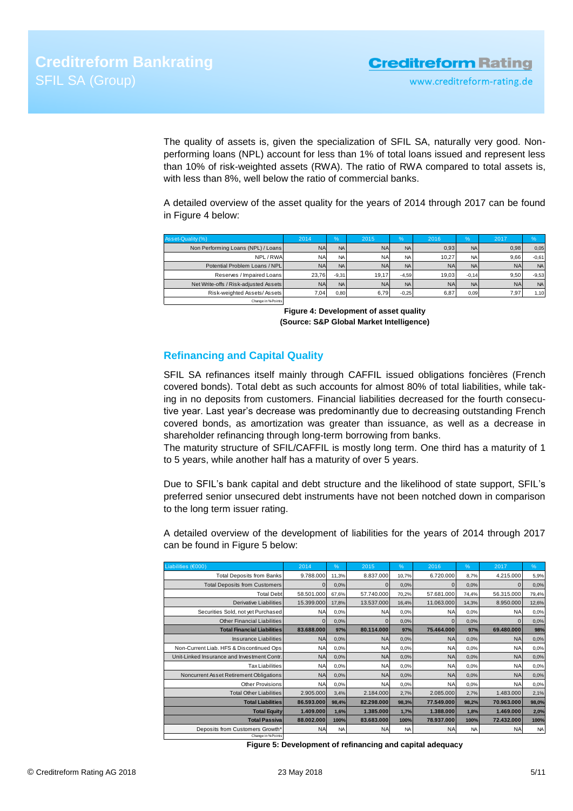The quality of assets is, given the specialization of SFIL SA, naturally very good. Nonperforming loans (NPL) account for less than 1% of total loans issued and represent less than 10% of risk-weighted assets (RWA). The ratio of RWA compared to total assets is, with less than 8%, well below the ratio of commercial banks.

A detailed overview of the asset quality for the years of 2014 through 2017 can be found in Figure 4 below:

| Asset-Quality (%)                     | 2014      | $\%$           | 2015      | $\frac{9}{6}$  | 2016      | %         | 2017      | $\frac{9}{6}$ |
|---------------------------------------|-----------|----------------|-----------|----------------|-----------|-----------|-----------|---------------|
| Non Performing Loans (NPL) / Loans    | <b>NA</b> | N <sub>A</sub> | <b>NA</b> | NA I           | 0.93      | <b>NA</b> | 0,98      | 0,05          |
| NPL/RWA                               | <b>NA</b> | <b>NA</b>      | <b>NA</b> | NA I           | 10.27     | <b>NA</b> | 9.66      | $-0.61$       |
| Potential Problem Loans / NPL         | <b>NA</b> | <b>NA</b>      | <b>NA</b> | N <sub>A</sub> | <b>NA</b> | <b>NA</b> | <b>NA</b> | <b>NA</b>     |
| Reserves / Impaired Loans             | 23.76     | $-9.31$        | 19.17     | $-4.59$        | 19.03     | $-0.14$   | 9.50      | $-9.53$       |
| Net Write-offs / Risk-adjusted Assets | <b>NA</b> | <b>NA</b>      | <b>NA</b> | N <sub>A</sub> | <b>NA</b> | <b>NA</b> | <b>NA</b> | <b>NA</b>     |
| Risk-weighted Assets/Assets           | 7.04      | 0,80           | 6.79      | $-0.25$        | 6.87      | 0.09      | 7.97      | 1.10          |
| Change in % Points                    |           |                |           |                |           |           |           |               |

# <span id="page-4-0"></span>**Refinancing and Capital Quality**

| Non Performing Loans (NPL) / Loans<br>NPL/RWA                                                                                                                                                                                                                                                                                                                                                                                                                                                               |                                                                                    |              | 2015                     |              | 2016              |              |                      |               |
|-------------------------------------------------------------------------------------------------------------------------------------------------------------------------------------------------------------------------------------------------------------------------------------------------------------------------------------------------------------------------------------------------------------------------------------------------------------------------------------------------------------|------------------------------------------------------------------------------------|--------------|--------------------------|--------------|-------------------|--------------|----------------------|---------------|
|                                                                                                                                                                                                                                                                                                                                                                                                                                                                                                             | <b>NA</b>                                                                          | <b>NA</b>    | <b>NA</b>                | <b>NA</b>    | 0,93              | <b>NA</b>    | 0,98                 | 0,05          |
|                                                                                                                                                                                                                                                                                                                                                                                                                                                                                                             | <b>NA</b>                                                                          | <b>NA</b>    | <b>NA</b>                | <b>NA</b>    | 10,27             | <b>NA</b>    | 9,66                 | $-0,61$       |
| Potential Problem Loans / NPL                                                                                                                                                                                                                                                                                                                                                                                                                                                                               | <b>NA</b>                                                                          | <b>NA</b>    | <b>NA</b>                | <b>NA</b>    | <b>NA</b>         | <b>NA</b>    | <b>NA</b>            | <b>NA</b>     |
| Reserves / Impaired Loans                                                                                                                                                                                                                                                                                                                                                                                                                                                                                   | 23,76                                                                              | $-9,31$      | 19,17                    | $-4,59$      | 19,03             | $-0,14$      | 9,50                 | $-9,53$       |
| Net Write-offs / Risk-adjusted Assets                                                                                                                                                                                                                                                                                                                                                                                                                                                                       | <b>NA</b>                                                                          | <b>NA</b>    | <b>NA</b>                | <b>NA</b>    | <b>NA</b>         | <b>NA</b>    | <b>NA</b>            | <b>NA</b>     |
| Risk-weighted Assets/Assets<br>Change in %Points                                                                                                                                                                                                                                                                                                                                                                                                                                                            | 7,04                                                                               | 0,80         | 6,79                     | $-0,25$      | 6,87              | 0,09         | 7,97                 | 1,10          |
|                                                                                                                                                                                                                                                                                                                                                                                                                                                                                                             | Figure 4: Development of asset quality<br>(Source: S&P Global Market Intelligence) |              |                          |              |                   |              |                      |               |
| <b>Refinancing and Capital Quality</b>                                                                                                                                                                                                                                                                                                                                                                                                                                                                      |                                                                                    |              |                          |              |                   |              |                      |               |
| ing in no deposits from customers. Financial liabilities decreased for the fourth consecu-<br>tive year. Last year's decrease was predominantly due to decreasing outstanding French<br>covered bonds, as amortization was greater than issuance, as well as a decrease in<br>shareholder refinancing through long-term borrowing from banks.<br>The maturity structure of SFIL/CAFFIL is mostly long term. One third has a maturity of 1<br>to 5 years, while another half has a maturity of over 5 years. |                                                                                    |              |                          |              |                   |              |                      |               |
| Due to SFIL's bank capital and debt structure and the likelihood of state support, SFIL's<br>preferred senior unsecured debt instruments have not been notched down in comparison<br>to the long term issuer rating.<br>A detailed overview of the development of liabilities for the years of 2014 through 2017<br>can be found in Figure 5 below:                                                                                                                                                         |                                                                                    |              |                          |              |                   |              |                      |               |
|                                                                                                                                                                                                                                                                                                                                                                                                                                                                                                             |                                                                                    |              |                          |              |                   |              |                      |               |
| Liabilities (€000)                                                                                                                                                                                                                                                                                                                                                                                                                                                                                          | 2014                                                                               | %            | 2015                     | %            | 2016              | %            | 2017                 | %             |
| <b>Total Deposits from Banks</b>                                                                                                                                                                                                                                                                                                                                                                                                                                                                            | 9.788.000                                                                          | 11,3%        | 8.837.000                | 10,7%        | 6.720.000         | 8,7%         | 4.215.000            | 5,9%          |
| <b>Total Deposits from Customers</b>                                                                                                                                                                                                                                                                                                                                                                                                                                                                        | 0                                                                                  | 0,0%         | $\mathbf{0}$             | 0,0%         | $\mathbf 0$       | 0,0%         | $\mathbf 0$          | 0,0%          |
| <b>Total Debt</b>                                                                                                                                                                                                                                                                                                                                                                                                                                                                                           | 58.501.000                                                                         | 67,6%        | 57.740.000               | 70,2%        | 57.681.000        | 74,4%        | 56.315.000           | 79,4%         |
| Derivative Liabilities                                                                                                                                                                                                                                                                                                                                                                                                                                                                                      | 15.399.000                                                                         | 17,8%        | 13.537.000               | 16,4%        | 11.063.000        | 14,3%        | 8.950.000            | 12,6%         |
| Securities Sold, not yet Purchased<br><b>Other Financial Liabilities</b>                                                                                                                                                                                                                                                                                                                                                                                                                                    | <b>NA</b><br>$\mathbf{0}$                                                          | 0,0%<br>0,0% | <b>NA</b><br>$\mathbf 0$ | 0,0%<br>0,0% | NA<br>$\mathbf 0$ | 0,0%<br>0,0% | NA<br>$\overline{0}$ | 0,0%<br>0,0%  |
| <b>Total Financial Liabilities</b>                                                                                                                                                                                                                                                                                                                                                                                                                                                                          | 83.688.000                                                                         | 97%          | 80.114.000               | 97%          | 75.464.000        | 97%          | 69.480.000           | 98%           |
| Insurance Liabilities                                                                                                                                                                                                                                                                                                                                                                                                                                                                                       | <b>NA</b>                                                                          | 0,0%         | <b>NA</b>                | 0,0%         | NA                | 0,0%         | <b>NA</b>            | 0,0%          |
| Non-Current Liab. HFS & Discontinued Ops                                                                                                                                                                                                                                                                                                                                                                                                                                                                    | NA                                                                                 | 0,0%         | <b>NA</b>                | 0,0%         | <b>NA</b>         | 0,0%         | NA                   | 0,0%          |
| Unit-Linked Insurance and Investment Contr.                                                                                                                                                                                                                                                                                                                                                                                                                                                                 | <b>NA</b>                                                                          | 0,0%         | <b>NA</b>                | 0,0%         | <b>NA</b>         | 0,0%         | <b>NA</b>            | 0,0%          |
| <b>Tax Liabilities</b>                                                                                                                                                                                                                                                                                                                                                                                                                                                                                      | <b>NA</b>                                                                          | 0,0%         | <b>NA</b>                | 0,0%         | <b>NA</b>         | 0,0%         | <b>NA</b>            |               |
| Noncurrent Asset Retirement Obligations                                                                                                                                                                                                                                                                                                                                                                                                                                                                     | <b>NA</b>                                                                          | 0,0%         | <b>NA</b>                | 0,0%         | <b>NA</b>         | 0,0%         | <b>NA</b>            | 0,0%          |
| Other Provisions                                                                                                                                                                                                                                                                                                                                                                                                                                                                                            | <b>NA</b>                                                                          | 0,0%         | <b>NA</b>                | 0,0%         | <b>NA</b>         | 0,0%         | <b>NA</b>            | 0,0%          |
| <b>Total Other Liabilities</b>                                                                                                                                                                                                                                                                                                                                                                                                                                                                              | 2.905.000                                                                          | 3,4%         | 2.184.000                | 2,7%         | 2.085.000         | 2,7%         | 1.483.000            | 2,1%          |
| <b>Total Liabilities</b>                                                                                                                                                                                                                                                                                                                                                                                                                                                                                    | 86.593.000                                                                         | 98,4%        | 82.298.000               | 98,3%        | 77.549.000        | 98,2%        | 70.963.000           | 0,0%<br>98,0% |
| <b>Total Equity</b>                                                                                                                                                                                                                                                                                                                                                                                                                                                                                         | 1.409.000                                                                          | 1,6%         | 1.385.000                | 1,7%         | 1.388.000         | 1,8%         | 1.469.000            | 2,0%          |
| <b>Total Passiva</b>                                                                                                                                                                                                                                                                                                                                                                                                                                                                                        | 88.002.000                                                                         | 100%         | 83.683.000               | 100%         | 78.937.000        | 100%         | 72.432.000           | 100%          |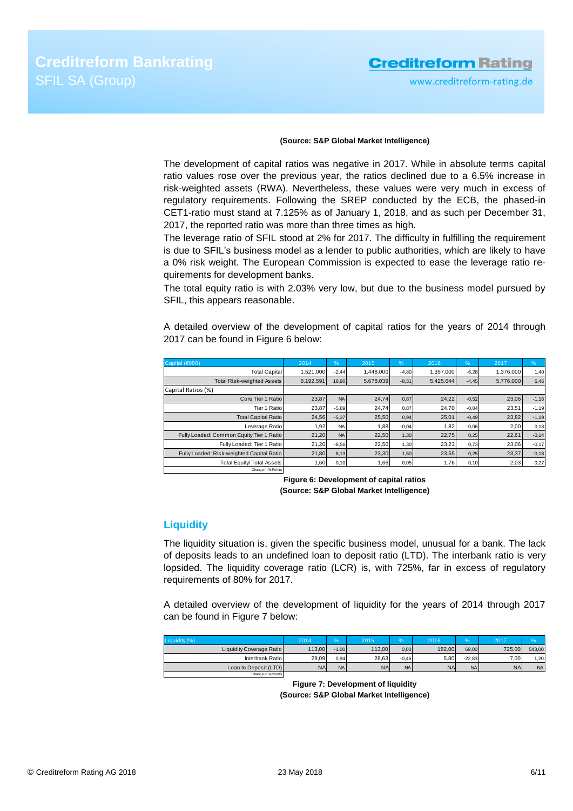# **Creditreform Rating**

www.creditreform-rating.de

### **(Source: S&P Global Market Intelligence)**

The development of capital ratios was negative in 2017. While in absolute terms capital ratio values rose over the previous year, the ratios declined due to a 6.5% increase in risk-weighted assets (RWA). Nevertheless, these values were very much in excess of regulatory requirements. Following the SREP conducted by the ECB, the phased-in CET1-ratio must stand at 7.125% as of January 1, 2018, and as such per December 31, 2017, the reported ratio was more than three times as high.

The leverage ratio of SFIL stood at 2% for 2017. The difficulty in fulfilling the requirement is due to SFIL's business model as a lender to public authorities, which are likely to have a 0% risk weight. The European Commission is expected to ease the leverage ratio requirements for development banks.

The total equity ratio is with 2.03% very low, but due to the business model pursued by SFIL, this appears reasonable.

A detailed overview of the development of capital ratios for the years of 2014 through 2017 can be found in Figure 6 below:

| Capital (€000)                            | 2014      | %         | 2015      | %       | 2016      | %       | 2017      | $\frac{9}{6}$ |
|-------------------------------------------|-----------|-----------|-----------|---------|-----------|---------|-----------|---------------|
| <b>Total Capital</b>                      | 1.521.000 | $-2,44$   | 1.448.000 | $-4,80$ | 1.357.000 | $-6,28$ | 1.376.000 | 1,40          |
| <b>Total Risk-weighted Assets</b>         | 6.192.591 | 18,90     | 5.678.039 | $-8,31$ | 5.425.644 | $-4,45$ | 5.776.000 | 6,46          |
| Capital Ratios (%)                        |           |           |           |         |           |         |           |               |
| Core Tier 1 Ratio                         | 23.87     | <b>NA</b> | 24.74     | 0,87    | 24.22     | $-0,52$ | 23.06     | $-1,16$       |
| Tier 1 Ratio                              | 23,87     | $-5,89$   | 24.74     | 0,87    | 24,70     | $-0.04$ | 23.51     | $-1,19$       |
| <b>Total Capital Ratio</b>                | 24.56     | $-5,37$   | 25,50     | 0,94    | 25,01     | $-0.49$ | 23,82     | $-1,19$       |
| Leverage Ratio                            | 1.92      | <b>NA</b> | 1,88      | $-0.04$ | 1,82      | $-0.06$ | 2.00      | 0,18          |
| Fully Loaded: Common Equity Tier 1 Ratio  | 21.20     | <b>NA</b> | 22.50     | 1,30    | 22.75     | 0,25    | 22.61     | $-0,14$       |
| Fully Loaded: Tier 1 Ratio                | 21.20     | $-8.56$   | 22.50     | 1,30    | 23.23     | 0.73    | 23.06     | $-0,17$       |
| Fully Loaded: Risk-weighted Capital Ratio | 21.80     | $-8,13$   | 23.30     | 1,50    | 23.55     | 0,25    | 23.37     | $-0,18$       |
| Total Equity/ Total Assets                | 1,60      | $-0,10$   | 1,66      | 0,05    | 1,76      | 0, 10   | 2,03      | 0,27          |
| Change in % Points                        |           |           |           |         |           |         |           |               |

**Figure 6: Development of capital ratios (Source: S&P Global Market Intelligence)**

### <span id="page-5-0"></span>**Liquidity**

The liquidity situation is, given the specific business model, unusual for a bank. The lack of deposits leads to an undefined loan to deposit ratio (LTD). The interbank ratio is very lopsided. The liquidity coverage ratio (LCR) is, with 725%, far in excess of regulatory requirements of 80% for 2017.

A detailed overview of the development of liquidity for the years of 2014 through 2017 can be found in Figure 7 below:

<span id="page-5-1"></span>

| Liquidity (%)                   | 2014      |                | 2015      | $\%$    | 2016      | $\%$      | 2017      | $\%$      |
|---------------------------------|-----------|----------------|-----------|---------|-----------|-----------|-----------|-----------|
| <b>Liquidity Coverage Ratio</b> | 113.00    | $-1.00$        | 113.00    | 0.00    | 182.00    | 69.00     | 725.00    | 543.00    |
| Interbank Ratio                 | 29.09     | 0.94           | 28.63     | $-0.46$ | 5.80      | $-22.83$  | 7.00      | 1.20      |
| Loan to Deposit (LTD)           | <b>NA</b> | N <sub>A</sub> | <b>NA</b> | NA      | <b>NA</b> | <b>NA</b> | <b>NA</b> | <b>NA</b> |
| Change in % Points              |           |                |           |         |           |           |           |           |

**Figure 7: Development of liquidity (Source: S&P Global Market Intelligence)**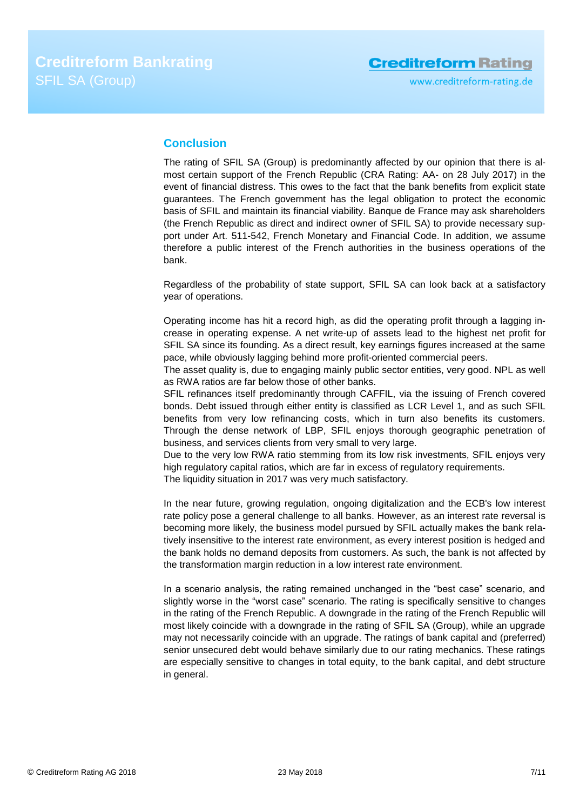# **Conclusion**

The rating of SFIL SA (Group) is predominantly affected by our opinion that there is almost certain support of the French Republic (CRA Rating: AA- on 28 July 2017) in the event of financial distress. This owes to the fact that the bank benefits from explicit state guarantees. The French government has the legal obligation to protect the economic basis of SFIL and maintain its financial viability. Banque de France may ask shareholders (the French Republic as direct and indirect owner of SFIL SA) to provide necessary support under Art. 511-542, French Monetary and Financial Code. In addition, we assume therefore a public interest of the French authorities in the business operations of the bank.

Regardless of the probability of state support, SFIL SA can look back at a satisfactory year of operations.

Operating income has hit a record high, as did the operating profit through a lagging increase in operating expense. A net write-up of assets lead to the highest net profit for SFIL SA since its founding. As a direct result, key earnings figures increased at the same pace, while obviously lagging behind more profit-oriented commercial peers.

The asset quality is, due to engaging mainly public sector entities, very good. NPL as well as RWA ratios are far below those of other banks.

SFIL refinances itself predominantly through CAFFIL, via the issuing of French covered bonds. Debt issued through either entity is classified as LCR Level 1, and as such SFIL benefits from very low refinancing costs, which in turn also benefits its customers. Through the dense network of LBP, SFIL enjoys thorough geographic penetration of business, and services clients from very small to very large.

Due to the very low RWA ratio stemming from its low risk investments, SFIL enjoys very high regulatory capital ratios, which are far in excess of regulatory requirements.

The liquidity situation in 2017 was very much satisfactory.

In the near future, growing regulation, ongoing digitalization and the ECB's low interest rate policy pose a general challenge to all banks. However, as an interest rate reversal is becoming more likely, the business model pursued by SFIL actually makes the bank relatively insensitive to the interest rate environment, as every interest position is hedged and the bank holds no demand deposits from customers. As such, the bank is not affected by the transformation margin reduction in a low interest rate environment.

In a scenario analysis, the rating remained unchanged in the "best case" scenario, and slightly worse in the "worst case" scenario. The rating is specifically sensitive to changes in the rating of the French Republic. A downgrade in the rating of the French Republic will most likely coincide with a downgrade in the rating of SFIL SA (Group), while an upgrade may not necessarily coincide with an upgrade. The ratings of bank capital and (preferred) senior unsecured debt would behave similarly due to our rating mechanics. These ratings are especially sensitive to changes in total equity, to the bank capital, and debt structure in general.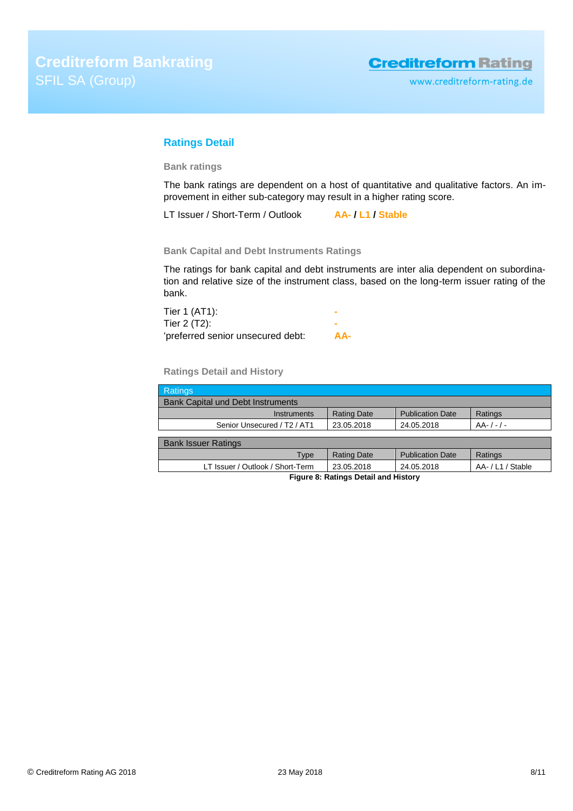# <span id="page-7-0"></span>**Ratings Detail**

**Bank ratings**

The bank ratings are dependent on a host of quantitative and qualitative factors. An improvement in either sub-category may result in a higher rating score.

LT Issuer / Short-Term / Outlook **AA- / L1 / Stable**

**Bank Capital and Debt Instruments Ratings**

The ratings for bank capital and debt instruments are inter alia dependent on subordination and relative size of the instrument class, based on the long-term issuer rating of the bank.

| Tier 1 (AT1):                     |     |
|-----------------------------------|-----|
| Tier 2 (T2):                      |     |
| 'preferred senior unsecured debt: | AA- |

**Ratings Detail and History**

| <b>Ratings</b>                                      |                    |                         |               |  |
|-----------------------------------------------------|--------------------|-------------------------|---------------|--|
| <b>Bank Capital und Debt Instruments</b>            |                    |                         |               |  |
| Instruments                                         | <b>Rating Date</b> | <b>Publication Date</b> | Ratings       |  |
| Senior Unsecured / T <sub>2</sub> / AT <sub>1</sub> | 23.05.2018         | 24.05.2018              | $AA-/-/-$     |  |
|                                                     |                    |                         |               |  |
| <b>Bank Issuer Ratings</b>                          |                    |                         |               |  |
| Type                                                | <b>Rating Date</b> | <b>Publication Date</b> | Ratings       |  |
| LT Issuer / Outlook / Short-Term                    | 23.05.2018         | 24.05.2018              | AA-/L1/Stable |  |
| Figure 8: Ratings Detail and History                |                    |                         |               |  |

© Creditreform Rating AG 2018 23 May 2018 8/11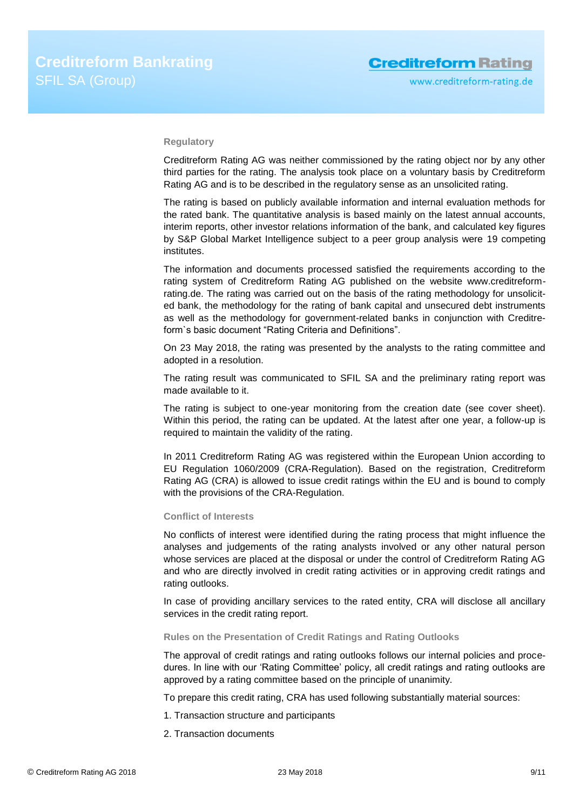### **Regulatory**

Creditreform Rating AG was neither commissioned by the rating object nor by any other third parties for the rating. The analysis took place on a voluntary basis by Creditreform Rating AG and is to be described in the regulatory sense as an unsolicited rating.

The rating is based on publicly available information and internal evaluation methods for the rated bank. The quantitative analysis is based mainly on the latest annual accounts, interim reports, other investor relations information of the bank, and calculated key figures by S&P Global Market Intelligence subject to a peer group analysis were 19 competing institutes.

The information and documents processed satisfied the requirements according to the rating system of Creditreform Rating AG published on the website www.creditreformrating.de. The rating was carried out on the basis of the rating methodology for unsolicited bank, the methodology for the rating of bank capital and unsecured debt instruments as well as the methodology for government-related banks in conjunction with Creditreform`s basic document "Rating Criteria and Definitions".

On 23 May 2018, the rating was presented by the analysts to the rating committee and adopted in a resolution.

The rating result was communicated to SFIL SA and the preliminary rating report was made available to it.

The rating is subject to one-year monitoring from the creation date (see cover sheet). Within this period, the rating can be updated. At the latest after one year, a follow-up is required to maintain the validity of the rating.

In 2011 Creditreform Rating AG was registered within the European Union according to EU Regulation 1060/2009 (CRA-Regulation). Based on the registration, Creditreform Rating AG (CRA) is allowed to issue credit ratings within the EU and is bound to comply with the provisions of the CRA-Regulation.

### **Conflict of Interests**

No conflicts of interest were identified during the rating process that might influence the analyses and judgements of the rating analysts involved or any other natural person whose services are placed at the disposal or under the control of Creditreform Rating AG and who are directly involved in credit rating activities or in approving credit ratings and rating outlooks.

In case of providing ancillary services to the rated entity, CRA will disclose all ancillary services in the credit rating report.

### **Rules on the Presentation of Credit Ratings and Rating Outlooks**

The approval of credit ratings and rating outlooks follows our internal policies and procedures. In line with our 'Rating Committee' policy, all credit ratings and rating outlooks are approved by a rating committee based on the principle of unanimity.

To prepare this credit rating, CRA has used following substantially material sources:

- 1. Transaction structure and participants
- 2. Transaction documents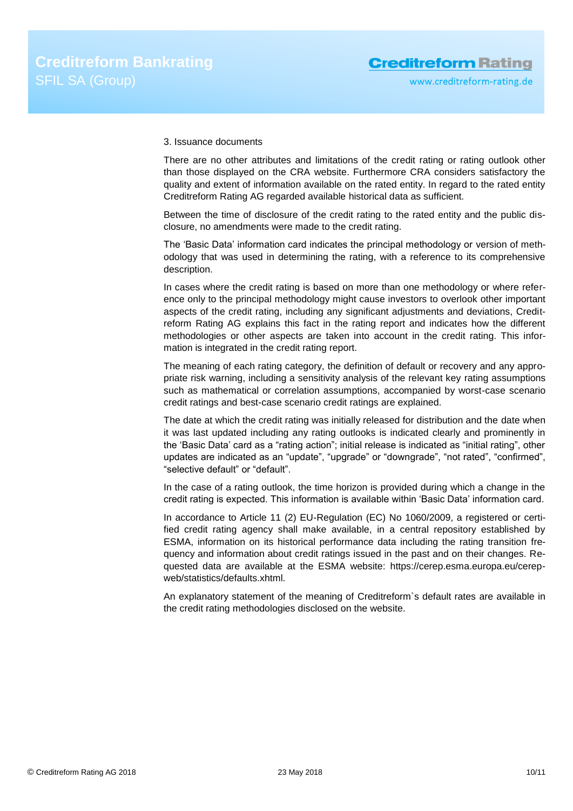### 3. Issuance documents

There are no other attributes and limitations of the credit rating or rating outlook other than those displayed on the CRA website. Furthermore CRA considers satisfactory the quality and extent of information available on the rated entity. In regard to the rated entity Creditreform Rating AG regarded available historical data as sufficient.

Between the time of disclosure of the credit rating to the rated entity and the public disclosure, no amendments were made to the credit rating.

The 'Basic Data' information card indicates the principal methodology or version of methodology that was used in determining the rating, with a reference to its comprehensive description.

In cases where the credit rating is based on more than one methodology or where reference only to the principal methodology might cause investors to overlook other important aspects of the credit rating, including any significant adjustments and deviations, Creditreform Rating AG explains this fact in the rating report and indicates how the different methodologies or other aspects are taken into account in the credit rating. This information is integrated in the credit rating report.

The meaning of each rating category, the definition of default or recovery and any appropriate risk warning, including a sensitivity analysis of the relevant key rating assumptions such as mathematical or correlation assumptions, accompanied by worst-case scenario credit ratings and best-case scenario credit ratings are explained.

The date at which the credit rating was initially released for distribution and the date when it was last updated including any rating outlooks is indicated clearly and prominently in the 'Basic Data' card as a "rating action"; initial release is indicated as "initial rating", other updates are indicated as an "update", "upgrade" or "downgrade", "not rated", "confirmed", "selective default" or "default".

In the case of a rating outlook, the time horizon is provided during which a change in the credit rating is expected. This information is available within 'Basic Data' information card.

In accordance to Article 11 (2) EU-Regulation (EC) No 1060/2009, a registered or certified credit rating agency shall make available, in a central repository established by ESMA, information on its historical performance data including the rating transition frequency and information about credit ratings issued in the past and on their changes. Requested data are available at the ESMA website: https://cerep.esma.europa.eu/cerepweb/statistics/defaults.xhtml.

An explanatory statement of the meaning of Creditreform`s default rates are available in the credit rating methodologies disclosed on the website.